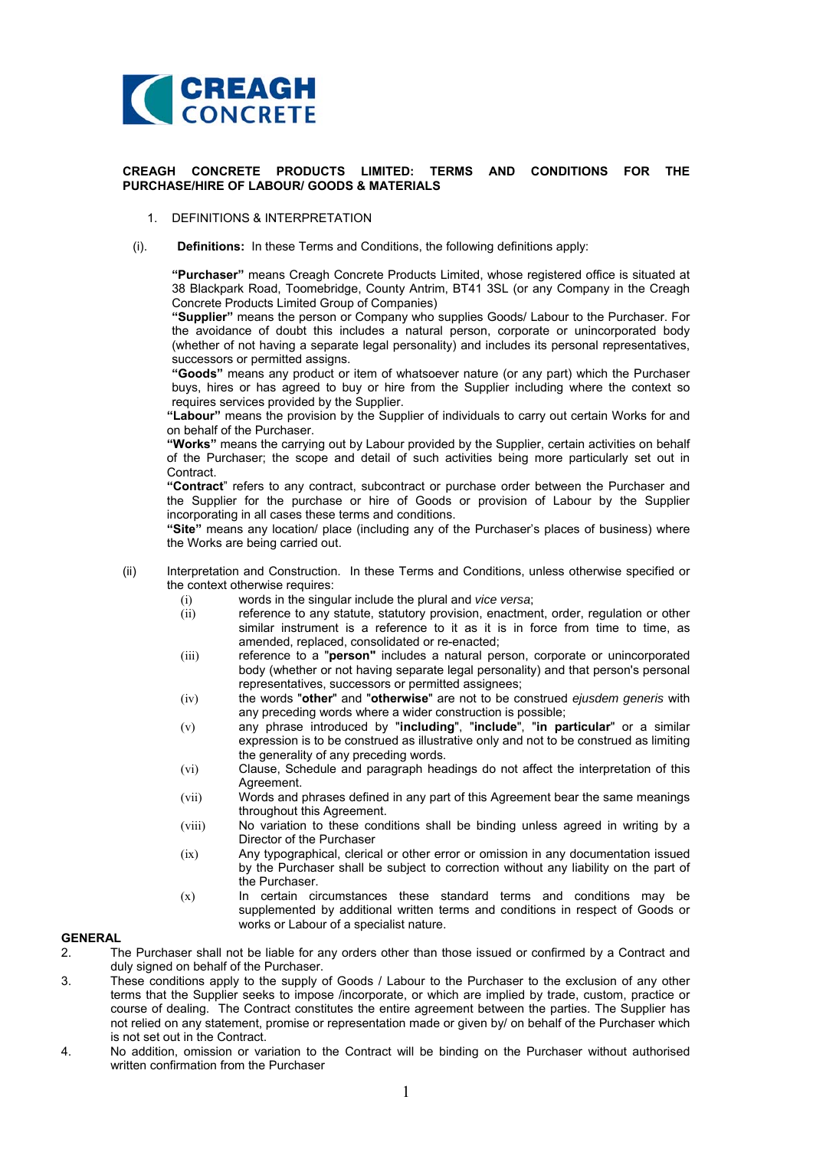

## **CREAGH CONCRETE PRODUCTS LIMITED: TERMS AND CONDITIONS FOR THE PURCHASE/HIRE OF LABOUR/ GOODS & MATERIALS**

- 1. DEFINITIONS & INTERPRETATION
- (i). **Definitions:** In these Terms and Conditions, the following definitions apply:

**"Purchaser"** means Creagh Concrete Products Limited, whose registered office is situated at 38 Blackpark Road, Toomebridge, County Antrim, BT41 3SL (or any Company in the Creagh Concrete Products Limited Group of Companies)

**"Supplier"** means the person or Company who supplies Goods/ Labour to the Purchaser. For the avoidance of doubt this includes a natural person, corporate or unincorporated body (whether of not having a separate legal personality) and includes its personal representatives, successors or permitted assigns.

**"Goods"** means any product or item of whatsoever nature (or any part) which the Purchaser buys, hires or has agreed to buy or hire from the Supplier including where the context so requires services provided by the Supplier.

**"Labour"** means the provision by the Supplier of individuals to carry out certain Works for and on behalf of the Purchaser.

**"Works"** means the carrying out by Labour provided by the Supplier, certain activities on behalf of the Purchaser; the scope and detail of such activities being more particularly set out in Contract.

**"Contract**" refers to any contract, subcontract or purchase order between the Purchaser and the Supplier for the purchase or hire of Goods or provision of Labour by the Supplier incorporating in all cases these terms and conditions.

**"Site"** means any location/ place (including any of the Purchaser's places of business) where the Works are being carried out.

- (ii) Interpretation and Construction. In these Terms and Conditions, unless otherwise specified or the context otherwise requires:
	- (i) words in the singular include the plural and *vice versa*;
	- (ii) reference to any statute, statutory provision, enactment, order, regulation or other similar instrument is a reference to it as it is in force from time to time, as amended, replaced, consolidated or re-enacted;
	- (iii) reference to a "**person"** includes a natural person, corporate or unincorporated body (whether or not having separate legal personality) and that person's personal representatives, successors or permitted assignees;
	- (iv) the words "**other**" and "**otherwise**" are not to be construed *ejusdem generis* with any preceding words where a wider construction is possible;
	- (v) any phrase introduced by "**including**", "**include**", "**in particular**" or a similar expression is to be construed as illustrative only and not to be construed as limiting the generality of any preceding words.
	- (vi) Clause, Schedule and paragraph headings do not affect the interpretation of this Agreement.
	- (vii) Words and phrases defined in any part of this Agreement bear the same meanings throughout this Agreement.
	- (viii) No variation to these conditions shall be binding unless agreed in writing by a Director of the Purchaser
	- (ix) Any typographical, clerical or other error or omission in any documentation issued by the Purchaser shall be subject to correction without any liability on the part of the Purchaser.
	- (x) In certain circumstances these standard terms and conditions may be supplemented by additional written terms and conditions in respect of Goods or works or Labour of a specialist nature.

## **GENERAL**

- 2. The Purchaser shall not be liable for any orders other than those issued or confirmed by a Contract and duly signed on behalf of the Purchaser.
- 3. These conditions apply to the supply of Goods / Labour to the Purchaser to the exclusion of any other terms that the Supplier seeks to impose /incorporate, or which are implied by trade, custom, practice or course of dealing. The Contract constitutes the entire agreement between the parties. The Supplier has not relied on any statement, promise or representation made or given by/ on behalf of the Purchaser which is not set out in the Contract.
- 4. No addition, omission or variation to the Contract will be binding on the Purchaser without authorised written confirmation from the Purchaser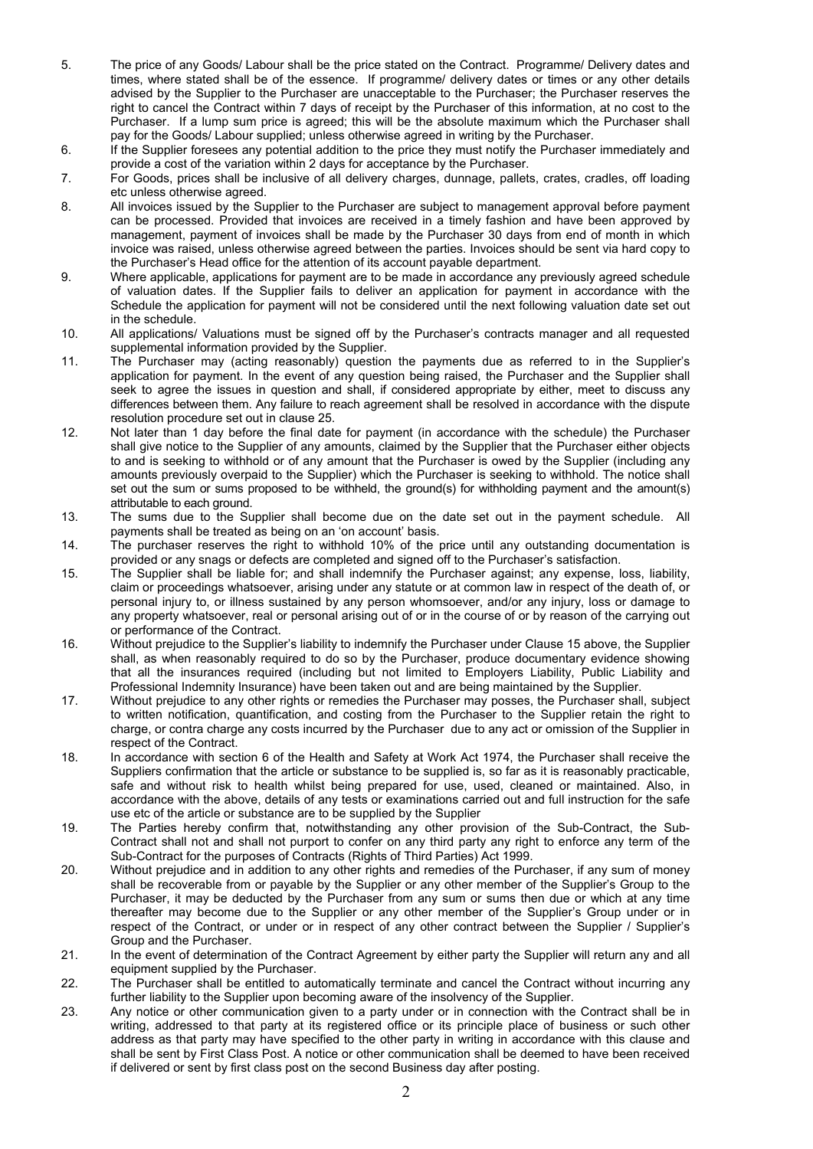- 5. The price of any Goods/ Labour shall be the price stated on the Contract. Programme/ Delivery dates and times, where stated shall be of the essence. If programme/ delivery dates or times or any other details advised by the Supplier to the Purchaser are unacceptable to the Purchaser; the Purchaser reserves the right to cancel the Contract within 7 days of receipt by the Purchaser of this information, at no cost to the Purchaser. If a lump sum price is agreed; this will be the absolute maximum which the Purchaser shall pay for the Goods/ Labour supplied; unless otherwise agreed in writing by the Purchaser.
- 6. If the Supplier foresees any potential addition to the price they must notify the Purchaser immediately and provide a cost of the variation within 2 days for acceptance by the Purchaser.
- 7. For Goods, prices shall be inclusive of all delivery charges, dunnage, pallets, crates, cradles, off loading etc unless otherwise agreed.
- 8. All invoices issued by the Supplier to the Purchaser are subject to management approval before payment can be processed. Provided that invoices are received in a timely fashion and have been approved by management, payment of invoices shall be made by the Purchaser 30 days from end of month in which invoice was raised, unless otherwise agreed between the parties. Invoices should be sent via hard copy to the Purchaser's Head office for the attention of its account payable department.
- 9. Where applicable, applications for payment are to be made in accordance any previously agreed schedule of valuation dates. If the Supplier fails to deliver an application for payment in accordance with the Schedule the application for payment will not be considered until the next following valuation date set out in the schedule.
- 10. All applications/ Valuations must be signed off by the Purchaser's contracts manager and all requested supplemental information provided by the Supplier.
- 11. The Purchaser may (acting reasonably) question the payments due as referred to in the Supplier's application for payment. In the event of any question being raised, the Purchaser and the Supplier shall seek to agree the issues in question and shall, if considered appropriate by either, meet to discuss any differences between them. Any failure to reach agreement shall be resolved in accordance with the dispute resolution procedure set out in clause 25.
- 12. Not later than 1 day before the final date for payment (in accordance with the schedule) the Purchaser shall give notice to the Supplier of any amounts, claimed by the Supplier that the Purchaser either objects to and is seeking to withhold or of any amount that the Purchaser is owed by the Supplier (including any amounts previously overpaid to the Supplier) which the Purchaser is seeking to withhold. The notice shall set out the sum or sums proposed to be withheld, the ground(s) for withholding payment and the amount(s) attributable to each ground.
- 13. The sums due to the Supplier shall become due on the date set out in the payment schedule. All payments shall be treated as being on an 'on account' basis.
- 14. The purchaser reserves the right to withhold 10% of the price until any outstanding documentation is provided or any snags or defects are completed and signed off to the Purchaser's satisfaction.
- 15. The Supplier shall be liable for; and shall indemnify the Purchaser against; any expense, loss, liability, claim or proceedings whatsoever, arising under any statute or at common law in respect of the death of, or personal injury to, or illness sustained by any person whomsoever, and/or any injury, loss or damage to any property whatsoever, real or personal arising out of or in the course of or by reason of the carrying out or performance of the Contract.
- 16. Without prejudice to the Supplier's liability to indemnify the Purchaser under Clause 15 above, the Supplier shall, as when reasonably required to do so by the Purchaser, produce documentary evidence showing that all the insurances required (including but not limited to Employers Liability, Public Liability and Professional Indemnity Insurance) have been taken out and are being maintained by the Supplier.
- 17. Without prejudice to any other rights or remedies the Purchaser may posses, the Purchaser shall, subject to written notification, quantification, and costing from the Purchaser to the Supplier retain the right to charge, or contra charge any costs incurred by the Purchaser due to any act or omission of the Supplier in respect of the Contract.
- 18. In accordance with section 6 of the Health and Safety at Work Act 1974, the Purchaser shall receive the Suppliers confirmation that the article or substance to be supplied is, so far as it is reasonably practicable, safe and without risk to health whilst being prepared for use, used, cleaned or maintained. Also, in accordance with the above, details of any tests or examinations carried out and full instruction for the safe use etc of the article or substance are to be supplied by the Supplier
- 19. The Parties hereby confirm that, notwithstanding any other provision of the Sub-Contract, the Sub-Contract shall not and shall not purport to confer on any third party any right to enforce any term of the Sub-Contract for the purposes of Contracts (Rights of Third Parties) Act 1999.
- 20. Without prejudice and in addition to any other rights and remedies of the Purchaser, if any sum of money shall be recoverable from or payable by the Supplier or any other member of the Supplier's Group to the Purchaser, it may be deducted by the Purchaser from any sum or sums then due or which at any time thereafter may become due to the Supplier or any other member of the Supplier's Group under or in respect of the Contract, or under or in respect of any other contract between the Supplier / Supplier's Group and the Purchaser.
- 21. In the event of determination of the Contract Agreement by either party the Supplier will return any and all equipment supplied by the Purchaser.
- 22. The Purchaser shall be entitled to automatically terminate and cancel the Contract without incurring any further liability to the Supplier upon becoming aware of the insolvency of the Supplier.
- 23. Any notice or other communication given to a party under or in connection with the Contract shall be in writing, addressed to that party at its registered office or its principle place of business or such other address as that party may have specified to the other party in writing in accordance with this clause and shall be sent by First Class Post. A notice or other communication shall be deemed to have been received if delivered or sent by first class post on the second Business day after posting.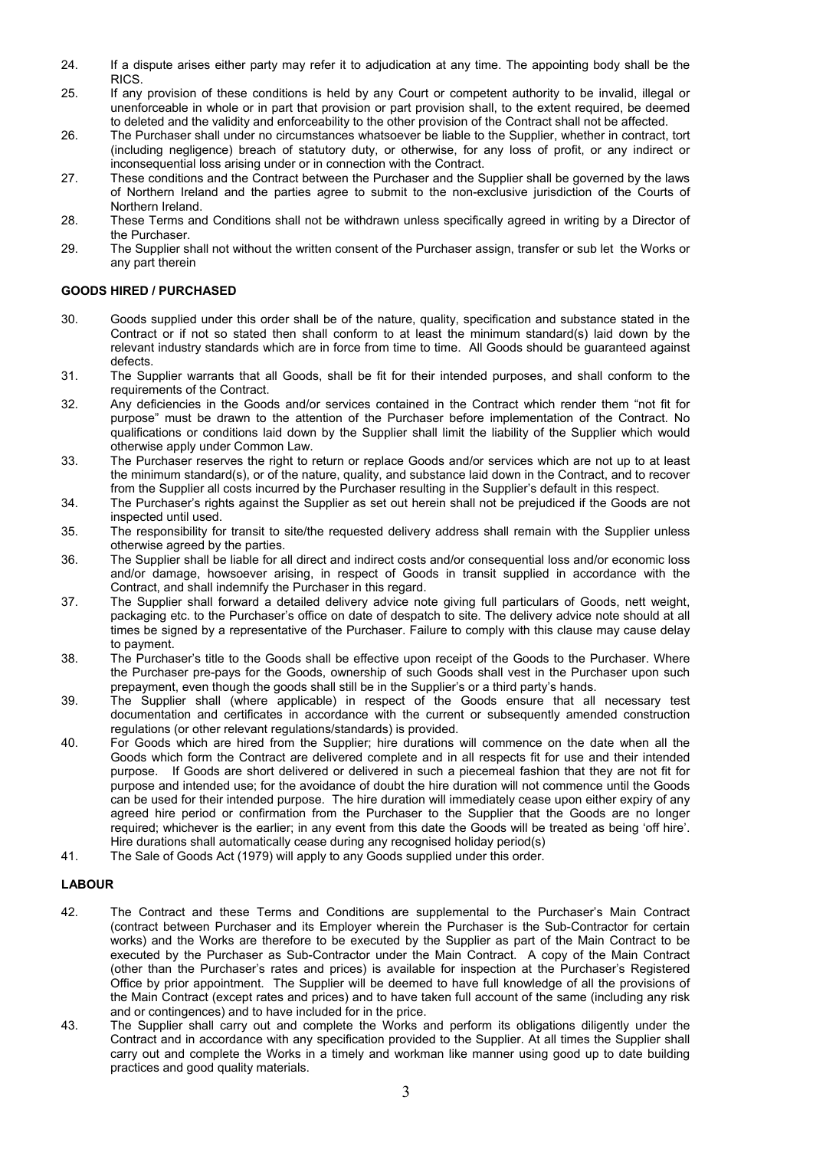- 24. If a dispute arises either party may refer it to adjudication at any time. The appointing body shall be the RICS.
- 25. If any provision of these conditions is held by any Court or competent authority to be invalid, illegal or unenforceable in whole or in part that provision or part provision shall, to the extent required, be deemed to deleted and the validity and enforceability to the other provision of the Contract shall not be affected.
- 26. The Purchaser shall under no circumstances whatsoever be liable to the Supplier, whether in contract, tort (including negligence) breach of statutory duty, or otherwise, for any loss of profit, or any indirect or inconsequential loss arising under or in connection with the Contract.
- 27. These conditions and the Contract between the Purchaser and the Supplier shall be governed by the laws of Northern Ireland and the parties agree to submit to the non-exclusive jurisdiction of the Courts of Northern Ireland.
- 28. These Terms and Conditions shall not be withdrawn unless specifically agreed in writing by a Director of the Purchaser.
- 29. The Supplier shall not without the written consent of the Purchaser assign, transfer or sub let the Works or any part therein

## **GOODS HIRED / PURCHASED**

- 30. Goods supplied under this order shall be of the nature, quality, specification and substance stated in the Contract or if not so stated then shall conform to at least the minimum standard(s) laid down by the relevant industry standards which are in force from time to time. All Goods should be guaranteed against defects.
- 31. The Supplier warrants that all Goods, shall be fit for their intended purposes, and shall conform to the requirements of the Contract.
- 32. Any deficiencies in the Goods and/or services contained in the Contract which render them "not fit for purpose" must be drawn to the attention of the Purchaser before implementation of the Contract. No qualifications or conditions laid down by the Supplier shall limit the liability of the Supplier which would otherwise apply under Common Law.
- 33. The Purchaser reserves the right to return or replace Goods and/or services which are not up to at least the minimum standard(s), or of the nature, quality, and substance laid down in the Contract, and to recover from the Supplier all costs incurred by the Purchaser resulting in the Supplier's default in this respect.
- 34. The Purchaser's rights against the Supplier as set out herein shall not be prejudiced if the Goods are not inspected until used.
- 35. The responsibility for transit to site/the requested delivery address shall remain with the Supplier unless otherwise agreed by the parties.
- 36. The Supplier shall be liable for all direct and indirect costs and/or consequential loss and/or economic loss and/or damage, howsoever arising, in respect of Goods in transit supplied in accordance with the Contract, and shall indemnify the Purchaser in this regard.
- 37. The Supplier shall forward a detailed delivery advice note giving full particulars of Goods, nett weight, packaging etc. to the Purchaser's office on date of despatch to site. The delivery advice note should at all times be signed by a representative of the Purchaser. Failure to comply with this clause may cause delay to payment.
- 38. The Purchaser's title to the Goods shall be effective upon receipt of the Goods to the Purchaser. Where the Purchaser pre-pays for the Goods, ownership of such Goods shall vest in the Purchaser upon such prepayment, even though the goods shall still be in the Supplier's or a third party's hands.
- 39. The Supplier shall (where applicable) in respect of the Goods ensure that all necessary test documentation and certificates in accordance with the current or subsequently amended construction regulations (or other relevant regulations/standards) is provided.
- 40. For Goods which are hired from the Supplier; hire durations will commence on the date when all the Goods which form the Contract are delivered complete and in all respects fit for use and their intended purpose. If Goods are short delivered or delivered in such a piecemeal fashion that they are not fit for purpose and intended use; for the avoidance of doubt the hire duration will not commence until the Goods can be used for their intended purpose. The hire duration will immediately cease upon either expiry of any agreed hire period or confirmation from the Purchaser to the Supplier that the Goods are no longer required; whichever is the earlier; in any event from this date the Goods will be treated as being 'off hire'. Hire durations shall automatically cease during any recognised holiday period(s)
- 41. The Sale of Goods Act (1979) will apply to any Goods supplied under this order.

## **LABOUR**

- 42. The Contract and these Terms and Conditions are supplemental to the Purchaser's Main Contract (contract between Purchaser and its Employer wherein the Purchaser is the Sub-Contractor for certain works) and the Works are therefore to be executed by the Supplier as part of the Main Contract to be executed by the Purchaser as Sub-Contractor under the Main Contract. A copy of the Main Contract (other than the Purchaser's rates and prices) is available for inspection at the Purchaser's Registered Office by prior appointment. The Supplier will be deemed to have full knowledge of all the provisions of the Main Contract (except rates and prices) and to have taken full account of the same (including any risk and or contingences) and to have included for in the price.
- 43. The Supplier shall carry out and complete the Works and perform its obligations diligently under the Contract and in accordance with any specification provided to the Supplier. At all times the Supplier shall carry out and complete the Works in a timely and workman like manner using good up to date building practices and good quality materials.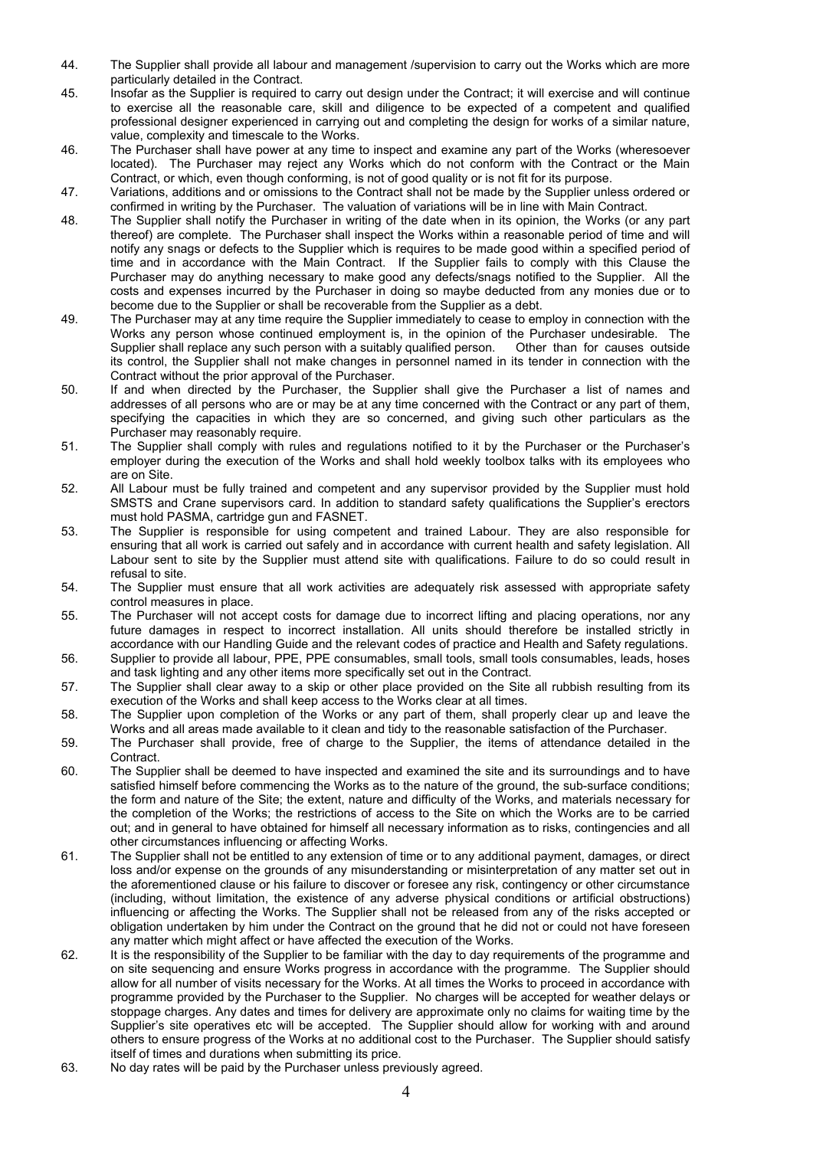- 44. The Supplier shall provide all labour and management /supervision to carry out the Works which are more particularly detailed in the Contract.
- 45. Insofar as the Supplier is required to carry out design under the Contract; it will exercise and will continue to exercise all the reasonable care, skill and diligence to be expected of a competent and qualified professional designer experienced in carrying out and completing the design for works of a similar nature, value, complexity and timescale to the Works.
- 46. The Purchaser shall have power at any time to inspect and examine any part of the Works (wheresoever located). The Purchaser may reject any Works which do not conform with the Contract or the Main Contract, or which, even though conforming, is not of good quality or is not fit for its purpose.
- 47. Variations, additions and or omissions to the Contract shall not be made by the Supplier unless ordered or confirmed in writing by the Purchaser. The valuation of variations will be in line with Main Contract.
- 48. The Supplier shall notify the Purchaser in writing of the date when in its opinion, the Works (or any part thereof) are complete. The Purchaser shall inspect the Works within a reasonable period of time and will notify any snags or defects to the Supplier which is requires to be made good within a specified period of time and in accordance with the Main Contract. If the Supplier fails to comply with this Clause the Purchaser may do anything necessary to make good any defects/snags notified to the Supplier. All the costs and expenses incurred by the Purchaser in doing so maybe deducted from any monies due or to become due to the Supplier or shall be recoverable from the Supplier as a debt.
- 49. The Purchaser may at any time require the Supplier immediately to cease to employ in connection with the Works any person whose continued employment is, in the opinion of the Purchaser undesirable. The Supplier shall replace any such person with a suitably qualified person. Other than for causes outside its control, the Supplier shall not make changes in personnel named in its tender in connection with the Contract without the prior approval of the Purchaser.
- 50. If and when directed by the Purchaser, the Supplier shall give the Purchaser a list of names and addresses of all persons who are or may be at any time concerned with the Contract or any part of them, specifying the capacities in which they are so concerned, and giving such other particulars as the Purchaser may reasonably require.
- 51. The Supplier shall comply with rules and regulations notified to it by the Purchaser or the Purchaser's employer during the execution of the Works and shall hold weekly toolbox talks with its employees who are on Site.
- 52. All Labour must be fully trained and competent and any supervisor provided by the Supplier must hold SMSTS and Crane supervisors card. In addition to standard safety qualifications the Supplier's erectors must hold PASMA, cartridge gun and FASNET.
- 53. The Supplier is responsible for using competent and trained Labour. They are also responsible for ensuring that all work is carried out safely and in accordance with current health and safety legislation. All Labour sent to site by the Supplier must attend site with qualifications. Failure to do so could result in refusal to site.
- 54. The Supplier must ensure that all work activities are adequately risk assessed with appropriate safety control measures in place.
- 55. The Purchaser will not accept costs for damage due to incorrect lifting and placing operations, nor any future damages in respect to incorrect installation. All units should therefore be installed strictly in accordance with our Handling Guide and the relevant codes of practice and Health and Safety regulations.
- 56. Supplier to provide all labour, PPE, PPE consumables, small tools, small tools consumables, leads, hoses and task lighting and any other items more specifically set out in the Contract.
- 57. The Supplier shall clear away to a skip or other place provided on the Site all rubbish resulting from its execution of the Works and shall keep access to the Works clear at all times.
- 58. The Supplier upon completion of the Works or any part of them, shall properly clear up and leave the Works and all areas made available to it clean and tidy to the reasonable satisfaction of the Purchaser.
- 59. The Purchaser shall provide, free of charge to the Supplier, the items of attendance detailed in the **Contract**
- 60. The Supplier shall be deemed to have inspected and examined the site and its surroundings and to have satisfied himself before commencing the Works as to the nature of the ground, the sub-surface conditions; the form and nature of the Site; the extent, nature and difficulty of the Works, and materials necessary for the completion of the Works; the restrictions of access to the Site on which the Works are to be carried out; and in general to have obtained for himself all necessary information as to risks, contingencies and all other circumstances influencing or affecting Works.
- 61. The Supplier shall not be entitled to any extension of time or to any additional payment, damages, or direct loss and/or expense on the grounds of any misunderstanding or misinterpretation of any matter set out in the aforementioned clause or his failure to discover or foresee any risk, contingency or other circumstance (including, without limitation, the existence of any adverse physical conditions or artificial obstructions) influencing or affecting the Works. The Supplier shall not be released from any of the risks accepted or obligation undertaken by him under the Contract on the ground that he did not or could not have foreseen any matter which might affect or have affected the execution of the Works.
- 62. It is the responsibility of the Supplier to be familiar with the day to day requirements of the programme and on site sequencing and ensure Works progress in accordance with the programme. The Supplier should allow for all number of visits necessary for the Works. At all times the Works to proceed in accordance with programme provided by the Purchaser to the Supplier. No charges will be accepted for weather delays or stoppage charges. Any dates and times for delivery are approximate only no claims for waiting time by the Supplier's site operatives etc will be accepted. The Supplier should allow for working with and around others to ensure progress of the Works at no additional cost to the Purchaser. The Supplier should satisfy itself of times and durations when submitting its price.
- 63. No day rates will be paid by the Purchaser unless previously agreed.